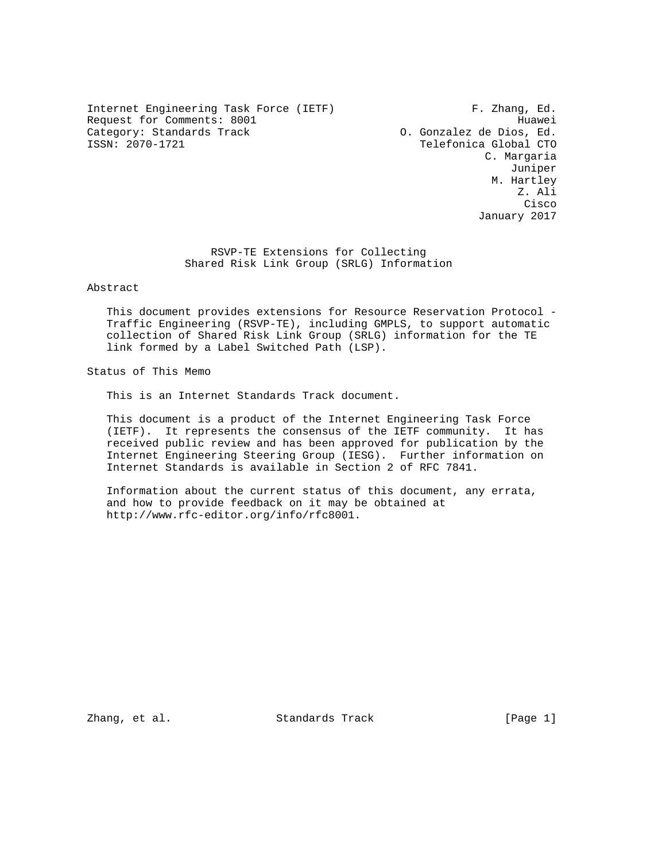Internet Engineering Task Force (IETF) F. Zhang, Ed. Request for Comments: 8001 Huawei Edition of the Second Music equest for Comments: 8001 Huawei Category: Standards Track Category: Standards Track Category: Standards Track Category: Category: Ed. Conzalez de Dios, Ed.<br>
COMES TRACK CONSISTING TRACK CONSISTING TRACK CONSISTING TRACK CONSISTING TRACK CONSISTING TRACK CONSISTENT O

Telefonica Global CTO C. Margaria Juniper M. Hartley Z. Ali **Cisco de la contrata de la contrata de la contrata de la contrata de la contrata de la contrata de la contrat** January 2017

> RSVP-TE Extensions for Collecting Shared Risk Link Group (SRLG) Information

Abstract

 This document provides extensions for Resource Reservation Protocol - Traffic Engineering (RSVP-TE), including GMPLS, to support automatic collection of Shared Risk Link Group (SRLG) information for the TE link formed by a Label Switched Path (LSP).

Status of This Memo

This is an Internet Standards Track document.

 This document is a product of the Internet Engineering Task Force (IETF). It represents the consensus of the IETF community. It has received public review and has been approved for publication by the Internet Engineering Steering Group (IESG). Further information on Internet Standards is available in Section 2 of RFC 7841.

 Information about the current status of this document, any errata, and how to provide feedback on it may be obtained at http://www.rfc-editor.org/info/rfc8001.

Zhang, et al. Standards Track [Page 1]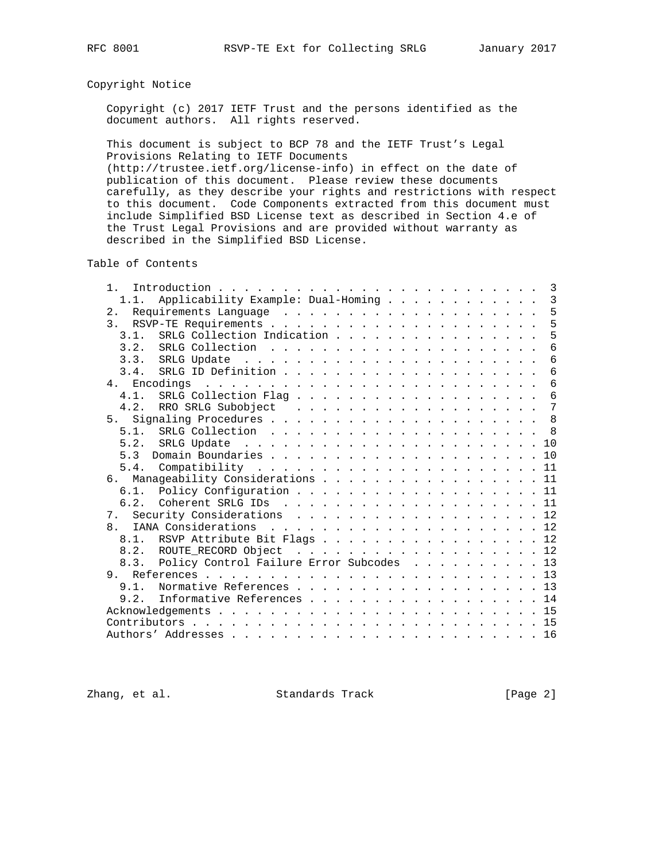# Copyright Notice

 Copyright (c) 2017 IETF Trust and the persons identified as the document authors. All rights reserved.

 This document is subject to BCP 78 and the IETF Trust's Legal Provisions Relating to IETF Documents

 (http://trustee.ietf.org/license-info) in effect on the date of publication of this document. Please review these documents carefully, as they describe your rights and restrictions with respect to this document. Code Components extracted from this document must include Simplified BSD License text as described in Section 4.e of the Trust Legal Provisions and are provided without warranty as described in the Simplified BSD License.

Table of Contents

| $1 \cdot$      |                                               |  |  |  |  |  |  |  |  |  |  | 3               |
|----------------|-----------------------------------------------|--|--|--|--|--|--|--|--|--|--|-----------------|
| 1.1.           | Applicability Example: Dual-Homing            |  |  |  |  |  |  |  |  |  |  | $\overline{3}$  |
|                |                                               |  |  |  |  |  |  |  |  |  |  | 5               |
|                |                                               |  |  |  |  |  |  |  |  |  |  | 5               |
| 3.1.           | SRLG Collection Indication                    |  |  |  |  |  |  |  |  |  |  | 5               |
|                |                                               |  |  |  |  |  |  |  |  |  |  | 6               |
|                |                                               |  |  |  |  |  |  |  |  |  |  | 6               |
| 3.4.           |                                               |  |  |  |  |  |  |  |  |  |  | 6               |
|                |                                               |  |  |  |  |  |  |  |  |  |  | 6               |
| 4.1.           |                                               |  |  |  |  |  |  |  |  |  |  | 6               |
|                |                                               |  |  |  |  |  |  |  |  |  |  | $7\phantom{.0}$ |
|                |                                               |  |  |  |  |  |  |  |  |  |  | 8               |
|                |                                               |  |  |  |  |  |  |  |  |  |  |                 |
|                |                                               |  |  |  |  |  |  |  |  |  |  |                 |
|                |                                               |  |  |  |  |  |  |  |  |  |  |                 |
| 5.4.           |                                               |  |  |  |  |  |  |  |  |  |  |                 |
|                | 6. Manageability Considerations 11            |  |  |  |  |  |  |  |  |  |  |                 |
|                | 6.1. Policy Configuration 11                  |  |  |  |  |  |  |  |  |  |  |                 |
|                | 6.2. Coherent SRLG IDs 11                     |  |  |  |  |  |  |  |  |  |  |                 |
|                | 7. Security Considerations 12                 |  |  |  |  |  |  |  |  |  |  |                 |
| 8 <sub>1</sub> |                                               |  |  |  |  |  |  |  |  |  |  |                 |
|                | 8.1. RSVP Attribute Bit Flags 12              |  |  |  |  |  |  |  |  |  |  |                 |
|                | 8.2. ROUTE_RECORD Object 12                   |  |  |  |  |  |  |  |  |  |  |                 |
|                | 8.3. Policy Control Failure Error Subcodes 13 |  |  |  |  |  |  |  |  |  |  |                 |
|                |                                               |  |  |  |  |  |  |  |  |  |  |                 |
|                | 9.1. Normative References 13                  |  |  |  |  |  |  |  |  |  |  |                 |
|                | 9.2. Informative References 14                |  |  |  |  |  |  |  |  |  |  |                 |
|                |                                               |  |  |  |  |  |  |  |  |  |  |                 |
|                |                                               |  |  |  |  |  |  |  |  |  |  |                 |
|                |                                               |  |  |  |  |  |  |  |  |  |  |                 |
|                |                                               |  |  |  |  |  |  |  |  |  |  |                 |

Zhang, et al. Standards Track [Page 2]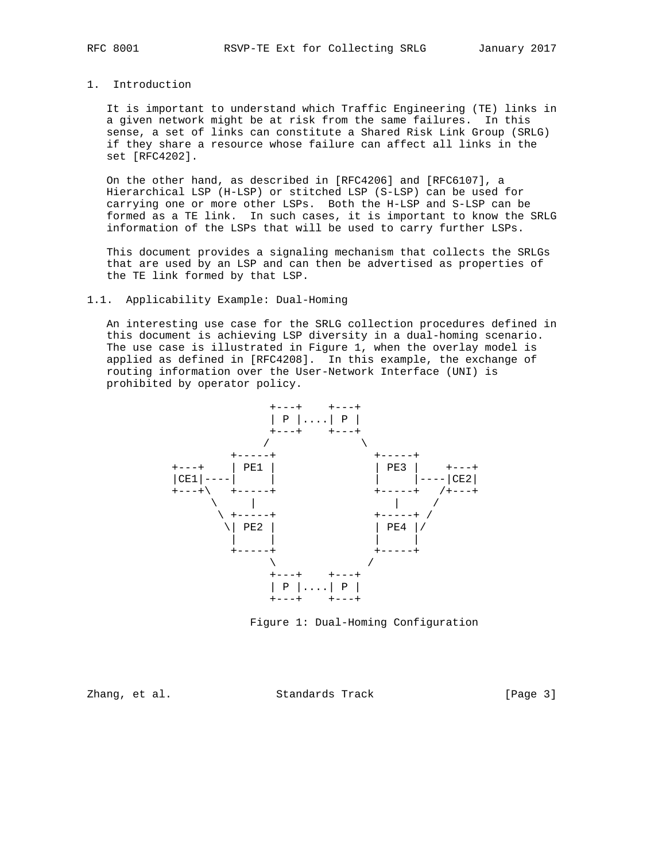## 1. Introduction

 It is important to understand which Traffic Engineering (TE) links in a given network might be at risk from the same failures. In this sense, a set of links can constitute a Shared Risk Link Group (SRLG) if they share a resource whose failure can affect all links in the set [RFC4202].

 On the other hand, as described in [RFC4206] and [RFC6107], a Hierarchical LSP (H-LSP) or stitched LSP (S-LSP) can be used for carrying one or more other LSPs. Both the H-LSP and S-LSP can be formed as a TE link. In such cases, it is important to know the SRLG information of the LSPs that will be used to carry further LSPs.

 This document provides a signaling mechanism that collects the SRLGs that are used by an LSP and can then be advertised as properties of the TE link formed by that LSP.

## 1.1. Applicability Example: Dual-Homing

 An interesting use case for the SRLG collection procedures defined in this document is achieving LSP diversity in a dual-homing scenario. The use case is illustrated in Figure 1, when the overlay model is applied as defined in [RFC4208]. In this example, the exchange of routing information over the User-Network Interface (UNI) is prohibited by operator policy.



Figure 1: Dual-Homing Configuration

Zhang, et al. Standards Track [Page 3]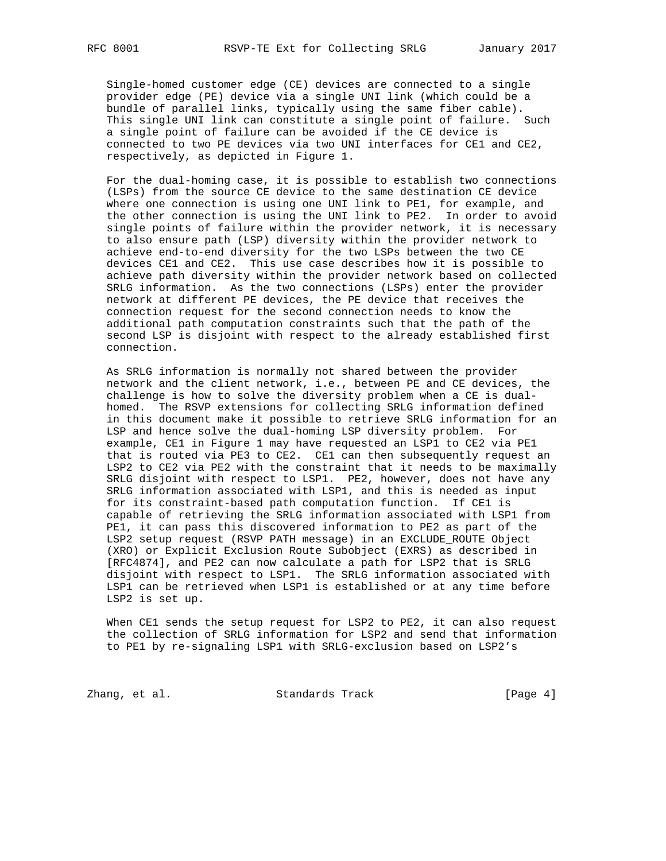Single-homed customer edge (CE) devices are connected to a single provider edge (PE) device via a single UNI link (which could be a bundle of parallel links, typically using the same fiber cable). This single UNI link can constitute a single point of failure. Such a single point of failure can be avoided if the CE device is connected to two PE devices via two UNI interfaces for CE1 and CE2, respectively, as depicted in Figure 1.

 For the dual-homing case, it is possible to establish two connections (LSPs) from the source CE device to the same destination CE device where one connection is using one UNI link to PE1, for example, and the other connection is using the UNI link to PE2. In order to avoid single points of failure within the provider network, it is necessary to also ensure path (LSP) diversity within the provider network to achieve end-to-end diversity for the two LSPs between the two CE devices CE1 and CE2. This use case describes how it is possible to achieve path diversity within the provider network based on collected SRLG information. As the two connections (LSPs) enter the provider network at different PE devices, the PE device that receives the connection request for the second connection needs to know the additional path computation constraints such that the path of the second LSP is disjoint with respect to the already established first connection.

 As SRLG information is normally not shared between the provider network and the client network, i.e., between PE and CE devices, the challenge is how to solve the diversity problem when a CE is dual homed. The RSVP extensions for collecting SRLG information defined in this document make it possible to retrieve SRLG information for an LSP and hence solve the dual-homing LSP diversity problem. For example, CE1 in Figure 1 may have requested an LSP1 to CE2 via PE1 that is routed via PE3 to CE2. CE1 can then subsequently request an LSP2 to CE2 via PE2 with the constraint that it needs to be maximally SRLG disjoint with respect to LSP1. PE2, however, does not have any SRLG information associated with LSP1, and this is needed as input for its constraint-based path computation function. If CE1 is capable of retrieving the SRLG information associated with LSP1 from PE1, it can pass this discovered information to PE2 as part of the LSP2 setup request (RSVP PATH message) in an EXCLUDE\_ROUTE Object (XRO) or Explicit Exclusion Route Subobject (EXRS) as described in [RFC4874], and PE2 can now calculate a path for LSP2 that is SRLG disjoint with respect to LSP1. The SRLG information associated with LSP1 can be retrieved when LSP1 is established or at any time before LSP2 is set up.

When CE1 sends the setup request for LSP2 to PE2, it can also request the collection of SRLG information for LSP2 and send that information to PE1 by re-signaling LSP1 with SRLG-exclusion based on LSP2's

Zhang, et al. Standards Track [Page 4]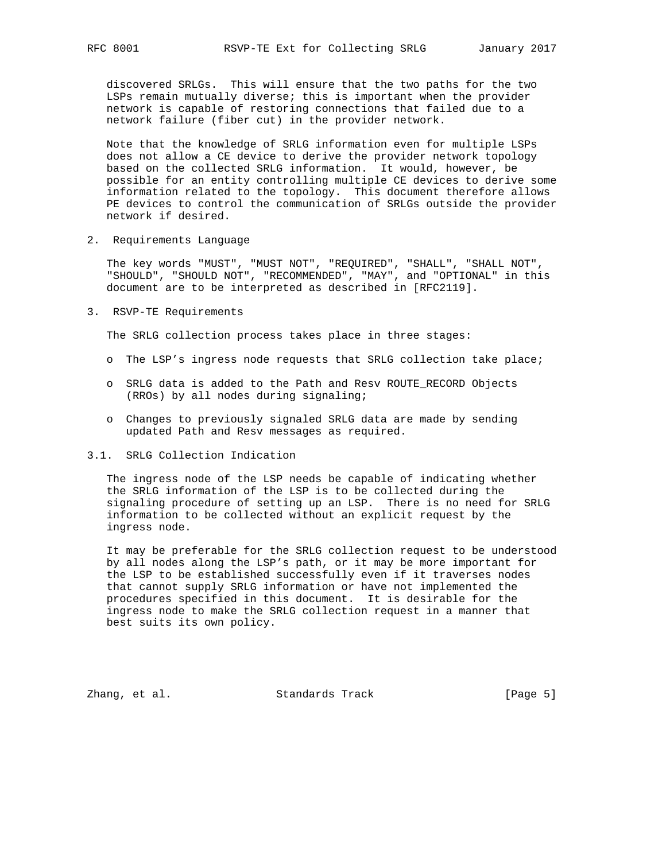discovered SRLGs. This will ensure that the two paths for the two LSPs remain mutually diverse; this is important when the provider network is capable of restoring connections that failed due to a network failure (fiber cut) in the provider network.

 Note that the knowledge of SRLG information even for multiple LSPs does not allow a CE device to derive the provider network topology based on the collected SRLG information. It would, however, be possible for an entity controlling multiple CE devices to derive some information related to the topology. This document therefore allows PE devices to control the communication of SRLGs outside the provider network if desired.

2. Requirements Language

 The key words "MUST", "MUST NOT", "REQUIRED", "SHALL", "SHALL NOT", "SHOULD", "SHOULD NOT", "RECOMMENDED", "MAY", and "OPTIONAL" in this document are to be interpreted as described in [RFC2119].

3. RSVP-TE Requirements

The SRLG collection process takes place in three stages:

- o The LSP's ingress node requests that SRLG collection take place;
- o SRLG data is added to the Path and Resv ROUTE\_RECORD Objects (RROs) by all nodes during signaling;
- o Changes to previously signaled SRLG data are made by sending updated Path and Resv messages as required.
- 3.1. SRLG Collection Indication

 The ingress node of the LSP needs be capable of indicating whether the SRLG information of the LSP is to be collected during the signaling procedure of setting up an LSP. There is no need for SRLG information to be collected without an explicit request by the ingress node.

 It may be preferable for the SRLG collection request to be understood by all nodes along the LSP's path, or it may be more important for the LSP to be established successfully even if it traverses nodes that cannot supply SRLG information or have not implemented the procedures specified in this document. It is desirable for the ingress node to make the SRLG collection request in a manner that best suits its own policy.

Zhang, et al. Standards Track [Page 5]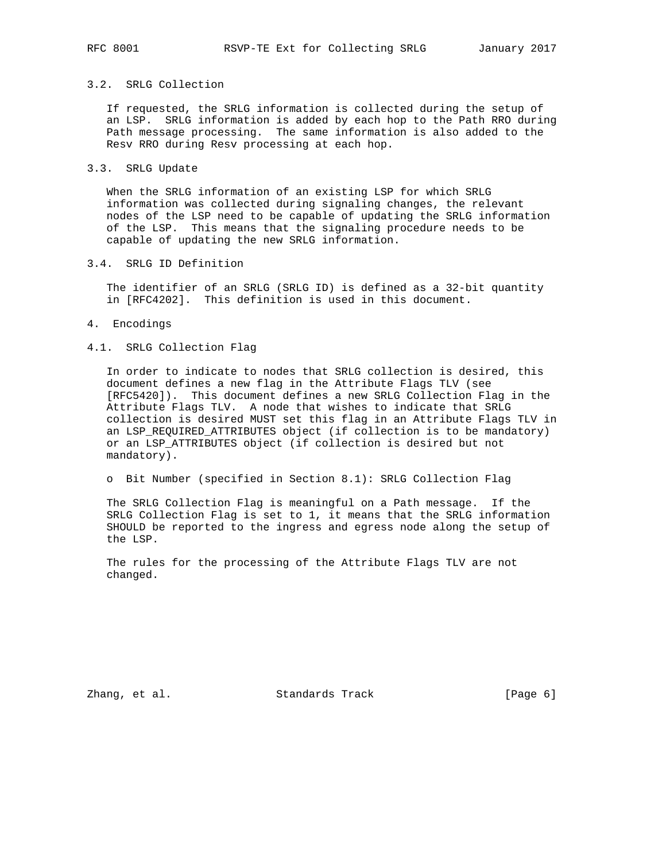## 3.2. SRLG Collection

 If requested, the SRLG information is collected during the setup of an LSP. SRLG information is added by each hop to the Path RRO during Path message processing. The same information is also added to the Resv RRO during Resv processing at each hop.

#### 3.3. SRLG Update

 When the SRLG information of an existing LSP for which SRLG information was collected during signaling changes, the relevant nodes of the LSP need to be capable of updating the SRLG information of the LSP. This means that the signaling procedure needs to be capable of updating the new SRLG information.

### 3.4. SRLG ID Definition

 The identifier of an SRLG (SRLG ID) is defined as a 32-bit quantity in [RFC4202]. This definition is used in this document.

#### 4. Encodings

#### 4.1. SRLG Collection Flag

 In order to indicate to nodes that SRLG collection is desired, this document defines a new flag in the Attribute Flags TLV (see [RFC5420]). This document defines a new SRLG Collection Flag in the Attribute Flags TLV. A node that wishes to indicate that SRLG collection is desired MUST set this flag in an Attribute Flags TLV in an LSP\_REQUIRED\_ATTRIBUTES object (if collection is to be mandatory) or an LSP\_ATTRIBUTES object (if collection is desired but not mandatory).

o Bit Number (specified in Section 8.1): SRLG Collection Flag

 The SRLG Collection Flag is meaningful on a Path message. If the SRLG Collection Flag is set to 1, it means that the SRLG information SHOULD be reported to the ingress and egress node along the setup of the LSP.

 The rules for the processing of the Attribute Flags TLV are not changed.

Zhang, et al. Standards Track [Page 6]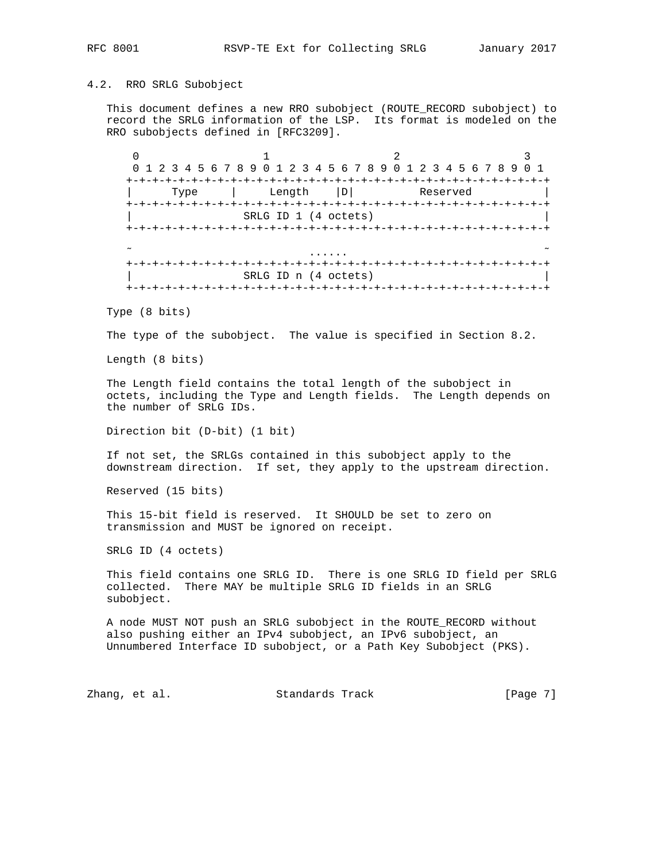# 4.2. RRO SRLG Subobject

 This document defines a new RRO subobject (ROUTE\_RECORD subobject) to record the SRLG information of the LSP. Its format is modeled on the RRO subobjects defined in [RFC3209].

 $0$  1 2 3 0 1 2 3 4 5 6 7 8 9 0 1 2 3 4 5 6 7 8 9 0 1 2 3 4 5 6 7 8 9 0 1 +-+-+-+-+-+-+-+-+-+-+-+-+-+-+-+-+-+-+-+-+-+-+-+-+-+-+-+-+-+-+-+-+ Type | Length |D| Reserved +-+-+-+-+-+-+-+-+-+-+-+-+-+-+-+-+-+-+-+-+-+-+-+-+-+-+-+-+-+-+-+-+ SRLG ID 1 (4 octets) +-+-+-+-+-+-+-+-+-+-+-+-+-+-+-+-+-+-+-+-+-+-+-+-+-+-+-+-+-+-+-+-+  $\sim$  ....  $\sim$  ....  $\sim$  ....  $\sim$  ....  $\sim$  ....  $\sim$  .....  $\sim$  .....  $\sim$  .....  $\sim$  +-+-+-+-+-+-+-+-+-+-+-+-+-+-+-+-+-+-+-+-+-+-+-+-+-+-+-+-+-+-+-+-+ SRLG ID n (4 octets) +-+-+-+-+-+-+-+-+-+-+-+-+-+-+-+-+-+-+-+-+-+-+-+-+-+-+-+-+-+-+-+-+

Type (8 bits)

The type of the subobject. The value is specified in Section 8.2.

Length (8 bits)

 The Length field contains the total length of the subobject in octets, including the Type and Length fields. The Length depends on the number of SRLG IDs.

Direction bit (D-bit) (1 bit)

 If not set, the SRLGs contained in this subobject apply to the downstream direction. If set, they apply to the upstream direction.

Reserved (15 bits)

 This 15-bit field is reserved. It SHOULD be set to zero on transmission and MUST be ignored on receipt.

SRLG ID (4 octets)

 This field contains one SRLG ID. There is one SRLG ID field per SRLG collected. There MAY be multiple SRLG ID fields in an SRLG subobject.

 A node MUST NOT push an SRLG subobject in the ROUTE\_RECORD without also pushing either an IPv4 subobject, an IPv6 subobject, an Unnumbered Interface ID subobject, or a Path Key Subobject (PKS).

Zhang, et al. Standards Track [Page 7]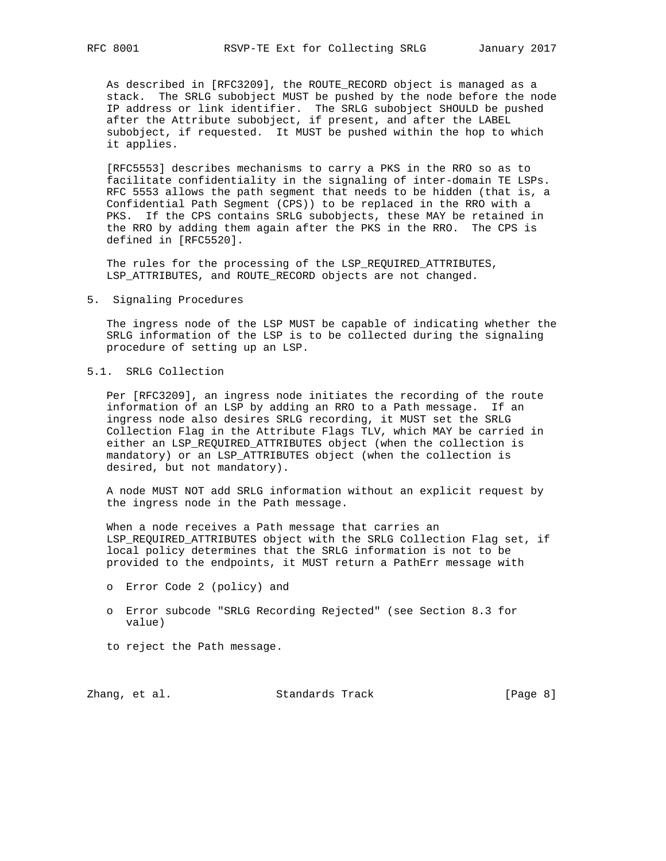As described in [RFC3209], the ROUTE\_RECORD object is managed as a stack. The SRLG subobject MUST be pushed by the node before the node IP address or link identifier. The SRLG subobject SHOULD be pushed after the Attribute subobject, if present, and after the LABEL subobject, if requested. It MUST be pushed within the hop to which it applies.

 [RFC5553] describes mechanisms to carry a PKS in the RRO so as to facilitate confidentiality in the signaling of inter-domain TE LSPs. RFC 5553 allows the path segment that needs to be hidden (that is, a Confidential Path Segment (CPS)) to be replaced in the RRO with a PKS. If the CPS contains SRLG subobjects, these MAY be retained in the RRO by adding them again after the PKS in the RRO. The CPS is defined in [RFC5520].

 The rules for the processing of the LSP\_REQUIRED\_ATTRIBUTES, LSP\_ATTRIBUTES, and ROUTE\_RECORD objects are not changed.

5. Signaling Procedures

 The ingress node of the LSP MUST be capable of indicating whether the SRLG information of the LSP is to be collected during the signaling procedure of setting up an LSP.

5.1. SRLG Collection

 Per [RFC3209], an ingress node initiates the recording of the route information of an LSP by adding an RRO to a Path message. If an ingress node also desires SRLG recording, it MUST set the SRLG Collection Flag in the Attribute Flags TLV, which MAY be carried in either an LSP\_REQUIRED\_ATTRIBUTES object (when the collection is mandatory) or an LSP\_ATTRIBUTES object (when the collection is desired, but not mandatory).

 A node MUST NOT add SRLG information without an explicit request by the ingress node in the Path message.

 When a node receives a Path message that carries an LSP\_REQUIRED\_ATTRIBUTES object with the SRLG Collection Flag set, if local policy determines that the SRLG information is not to be provided to the endpoints, it MUST return a PathErr message with

- o Error Code 2 (policy) and
- o Error subcode "SRLG Recording Rejected" (see Section 8.3 for value)

to reject the Path message.

Zhang, et al. Standards Track [Page 8]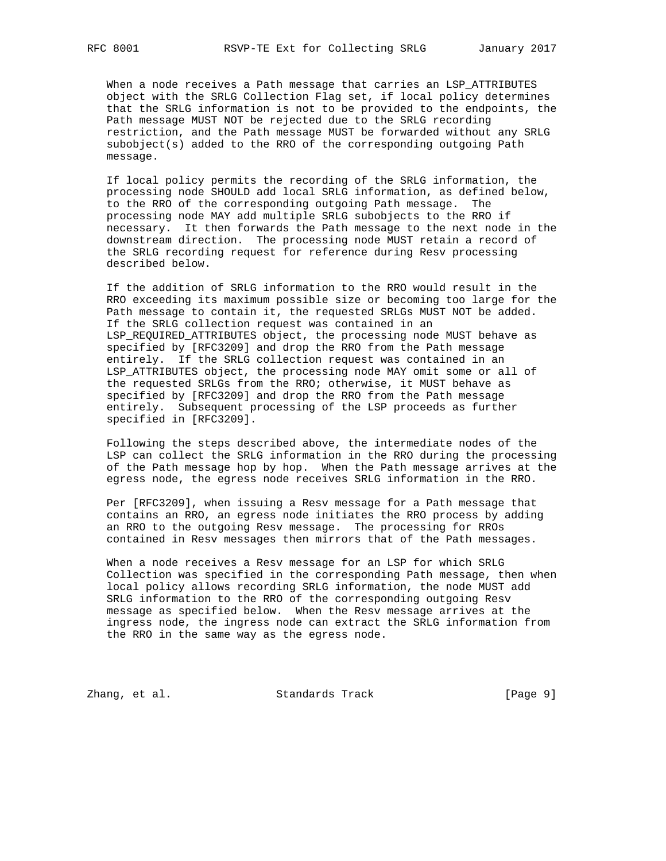When a node receives a Path message that carries an LSP\_ATTRIBUTES object with the SRLG Collection Flag set, if local policy determines that the SRLG information is not to be provided to the endpoints, the Path message MUST NOT be rejected due to the SRLG recording restriction, and the Path message MUST be forwarded without any SRLG subobject(s) added to the RRO of the corresponding outgoing Path message.

 If local policy permits the recording of the SRLG information, the processing node SHOULD add local SRLG information, as defined below, to the RRO of the corresponding outgoing Path message. The processing node MAY add multiple SRLG subobjects to the RRO if necessary. It then forwards the Path message to the next node in the downstream direction. The processing node MUST retain a record of the SRLG recording request for reference during Resv processing described below.

 If the addition of SRLG information to the RRO would result in the RRO exceeding its maximum possible size or becoming too large for the Path message to contain it, the requested SRLGs MUST NOT be added. If the SRLG collection request was contained in an LSP\_REQUIRED\_ATTRIBUTES object, the processing node MUST behave as specified by [RFC3209] and drop the RRO from the Path message entirely. If the SRLG collection request was contained in an LSP\_ATTRIBUTES object, the processing node MAY omit some or all of the requested SRLGs from the RRO; otherwise, it MUST behave as specified by [RFC3209] and drop the RRO from the Path message entirely. Subsequent processing of the LSP proceeds as further specified in [RFC3209].

 Following the steps described above, the intermediate nodes of the LSP can collect the SRLG information in the RRO during the processing of the Path message hop by hop. When the Path message arrives at the egress node, the egress node receives SRLG information in the RRO.

 Per [RFC3209], when issuing a Resv message for a Path message that contains an RRO, an egress node initiates the RRO process by adding an RRO to the outgoing Resv message. The processing for RROs contained in Resv messages then mirrors that of the Path messages.

 When a node receives a Resv message for an LSP for which SRLG Collection was specified in the corresponding Path message, then when local policy allows recording SRLG information, the node MUST add SRLG information to the RRO of the corresponding outgoing Resv message as specified below. When the Resv message arrives at the ingress node, the ingress node can extract the SRLG information from the RRO in the same way as the egress node.

Zhang, et al. Standards Track [Page 9]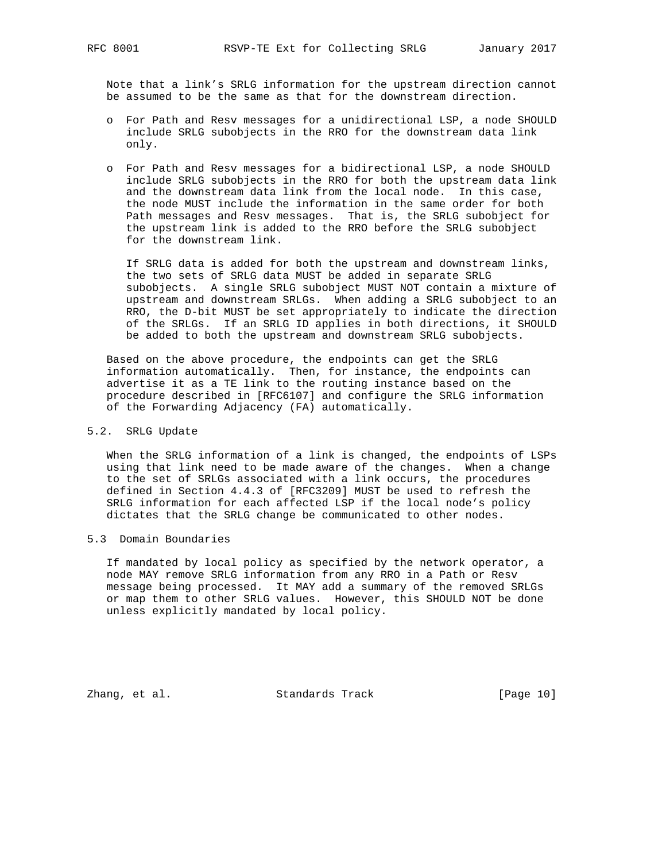Note that a link's SRLG information for the upstream direction cannot be assumed to be the same as that for the downstream direction.

- o For Path and Resv messages for a unidirectional LSP, a node SHOULD include SRLG subobjects in the RRO for the downstream data link only.
- o For Path and Resv messages for a bidirectional LSP, a node SHOULD include SRLG subobjects in the RRO for both the upstream data link and the downstream data link from the local node. In this case, the node MUST include the information in the same order for both Path messages and Resv messages. That is, the SRLG subobject for the upstream link is added to the RRO before the SRLG subobject for the downstream link.

 If SRLG data is added for both the upstream and downstream links, the two sets of SRLG data MUST be added in separate SRLG subobjects. A single SRLG subobject MUST NOT contain a mixture of upstream and downstream SRLGs. When adding a SRLG subobject to an RRO, the D-bit MUST be set appropriately to indicate the direction of the SRLGs. If an SRLG ID applies in both directions, it SHOULD be added to both the upstream and downstream SRLG subobjects.

 Based on the above procedure, the endpoints can get the SRLG information automatically. Then, for instance, the endpoints can advertise it as a TE link to the routing instance based on the procedure described in [RFC6107] and configure the SRLG information of the Forwarding Adjacency (FA) automatically.

## 5.2. SRLG Update

 When the SRLG information of a link is changed, the endpoints of LSPs using that link need to be made aware of the changes. When a change to the set of SRLGs associated with a link occurs, the procedures defined in Section 4.4.3 of [RFC3209] MUST be used to refresh the SRLG information for each affected LSP if the local node's policy dictates that the SRLG change be communicated to other nodes.

## 5.3 Domain Boundaries

 If mandated by local policy as specified by the network operator, a node MAY remove SRLG information from any RRO in a Path or Resv message being processed. It MAY add a summary of the removed SRLGs or map them to other SRLG values. However, this SHOULD NOT be done unless explicitly mandated by local policy.

Zhang, et al. Standards Track [Page 10]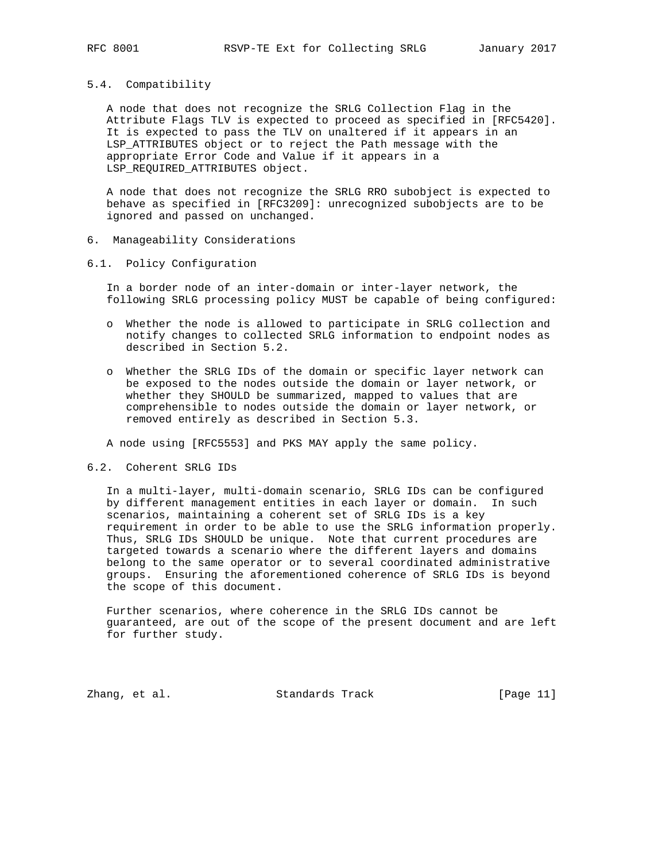#### 5.4. Compatibility

 A node that does not recognize the SRLG Collection Flag in the Attribute Flags TLV is expected to proceed as specified in [RFC5420]. It is expected to pass the TLV on unaltered if it appears in an LSP\_ATTRIBUTES object or to reject the Path message with the appropriate Error Code and Value if it appears in a LSP\_REQUIRED\_ATTRIBUTES object.

 A node that does not recognize the SRLG RRO subobject is expected to behave as specified in [RFC3209]: unrecognized subobjects are to be ignored and passed on unchanged.

#### 6. Manageability Considerations

### 6.1. Policy Configuration

 In a border node of an inter-domain or inter-layer network, the following SRLG processing policy MUST be capable of being configured:

- o Whether the node is allowed to participate in SRLG collection and notify changes to collected SRLG information to endpoint nodes as described in Section 5.2.
- o Whether the SRLG IDs of the domain or specific layer network can be exposed to the nodes outside the domain or layer network, or whether they SHOULD be summarized, mapped to values that are comprehensible to nodes outside the domain or layer network, or removed entirely as described in Section 5.3.

A node using [RFC5553] and PKS MAY apply the same policy.

### 6.2. Coherent SRLG IDs

 In a multi-layer, multi-domain scenario, SRLG IDs can be configured by different management entities in each layer or domain. In such scenarios, maintaining a coherent set of SRLG IDs is a key requirement in order to be able to use the SRLG information properly. Thus, SRLG IDs SHOULD be unique. Note that current procedures are targeted towards a scenario where the different layers and domains belong to the same operator or to several coordinated administrative groups. Ensuring the aforementioned coherence of SRLG IDs is beyond the scope of this document.

 Further scenarios, where coherence in the SRLG IDs cannot be guaranteed, are out of the scope of the present document and are left for further study.

Zhang, et al. Standards Track [Page 11]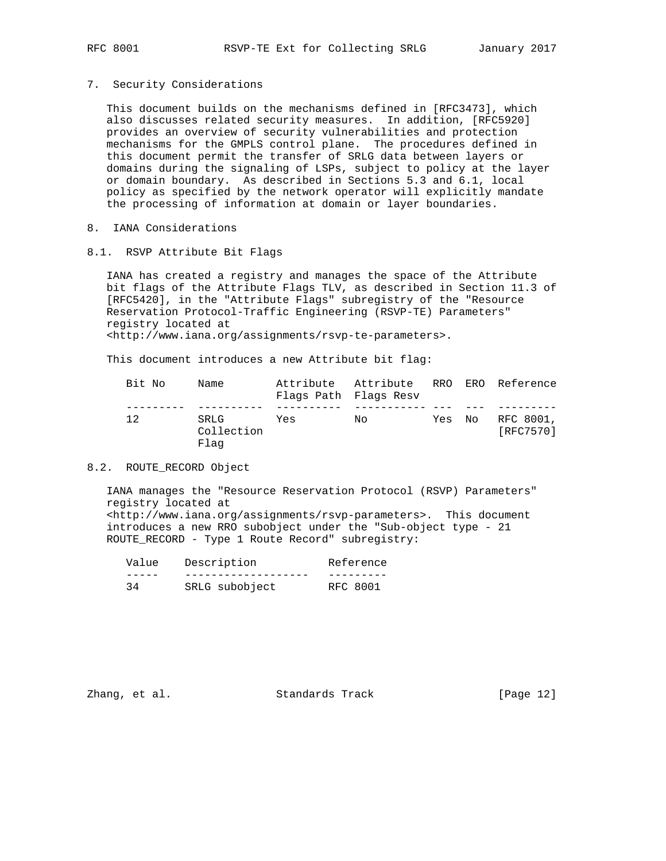7. Security Considerations

 This document builds on the mechanisms defined in [RFC3473], which also discusses related security measures. In addition, [RFC5920] provides an overview of security vulnerabilities and protection mechanisms for the GMPLS control plane. The procedures defined in this document permit the transfer of SRLG data between layers or domains during the signaling of LSPs, subject to policy at the layer or domain boundary. As described in Sections 5.3 and 6.1, local policy as specified by the network operator will explicitly mandate the processing of information at domain or layer boundaries.

- 8. IANA Considerations
- 8.1. RSVP Attribute Bit Flags

 IANA has created a registry and manages the space of the Attribute bit flags of the Attribute Flags TLV, as described in Section 11.3 of [RFC5420], in the "Attribute Flags" subregistry of the "Resource Reservation Protocol-Traffic Engineering (RSVP-TE) Parameters" registry located at <http://www.iana.org/assignments/rsvp-te-parameters>.

This document introduces a new Attribute bit flag:

| Bit No | Name                       | Flags Path Flags Resv | Attribute Attribute RRO ERO Reference |        |                        |
|--------|----------------------------|-----------------------|---------------------------------------|--------|------------------------|
| 12.    | SRLG<br>Collection<br>Flag | Yes                   | Nο                                    | Yes No | RFC 8001,<br>[RFC7570] |

### 8.2. ROUTE\_RECORD Object

 IANA manages the "Resource Reservation Protocol (RSVP) Parameters" registry located at <http://www.iana.org/assignments/rsvp-parameters>. This document introduces a new RRO subobject under the "Sub-object type - 21 ROUTE\_RECORD - Type 1 Route Record" subregistry:

| Value | Description    | Reference |
|-------|----------------|-----------|
|       |                |           |
| 34    | SRLG subobject | RFC 8001  |

Zhang, et al. Standards Track [Page 12]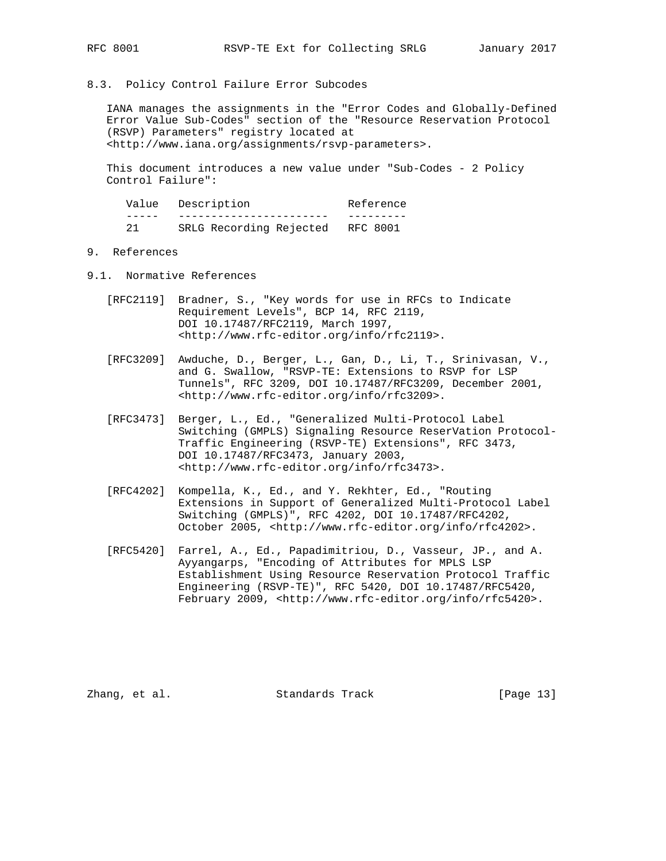# 8.3. Policy Control Failure Error Subcodes

 IANA manages the assignments in the "Error Codes and Globally-Defined Error Value Sub-Codes" section of the "Resource Reservation Protocol (RSVP) Parameters" registry located at <http://www.iana.org/assignments/rsvp-parameters>.

 This document introduces a new value under "Sub-Codes - 2 Policy Control Failure":

|    | Value Description                | Reference |
|----|----------------------------------|-----------|
|    |                                  |           |
| 21 | SRLG Recording Rejected RFC 8001 |           |

# 9. References

- 9.1. Normative References
	- [RFC2119] Bradner, S., "Key words for use in RFCs to Indicate Requirement Levels", BCP 14, RFC 2119, DOI 10.17487/RFC2119, March 1997, <http://www.rfc-editor.org/info/rfc2119>.
	- [RFC3209] Awduche, D., Berger, L., Gan, D., Li, T., Srinivasan, V., and G. Swallow, "RSVP-TE: Extensions to RSVP for LSP Tunnels", RFC 3209, DOI 10.17487/RFC3209, December 2001, <http://www.rfc-editor.org/info/rfc3209>.
	- [RFC3473] Berger, L., Ed., "Generalized Multi-Protocol Label Switching (GMPLS) Signaling Resource ReserVation Protocol- Traffic Engineering (RSVP-TE) Extensions", RFC 3473, DOI 10.17487/RFC3473, January 2003, <http://www.rfc-editor.org/info/rfc3473>.
	- [RFC4202] Kompella, K., Ed., and Y. Rekhter, Ed., "Routing Extensions in Support of Generalized Multi-Protocol Label Switching (GMPLS)", RFC 4202, DOI 10.17487/RFC4202, October 2005, <http://www.rfc-editor.org/info/rfc4202>.
	- [RFC5420] Farrel, A., Ed., Papadimitriou, D., Vasseur, JP., and A. Ayyangarps, "Encoding of Attributes for MPLS LSP Establishment Using Resource Reservation Protocol Traffic Engineering (RSVP-TE)", RFC 5420, DOI 10.17487/RFC5420, February 2009, <http://www.rfc-editor.org/info/rfc5420>.

Zhang, et al. Standards Track [Page 13]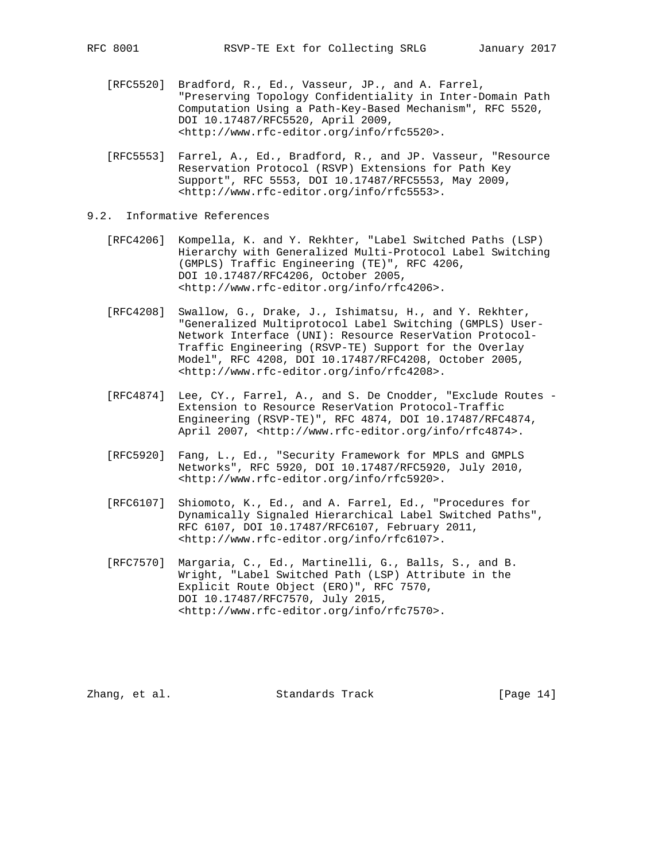- [RFC5520] Bradford, R., Ed., Vasseur, JP., and A. Farrel, "Preserving Topology Confidentiality in Inter-Domain Path Computation Using a Path-Key-Based Mechanism", RFC 5520, DOI 10.17487/RFC5520, April 2009, <http://www.rfc-editor.org/info/rfc5520>.
- [RFC5553] Farrel, A., Ed., Bradford, R., and JP. Vasseur, "Resource Reservation Protocol (RSVP) Extensions for Path Key Support", RFC 5553, DOI 10.17487/RFC5553, May 2009, <http://www.rfc-editor.org/info/rfc5553>.
- 9.2. Informative References
	- [RFC4206] Kompella, K. and Y. Rekhter, "Label Switched Paths (LSP) Hierarchy with Generalized Multi-Protocol Label Switching (GMPLS) Traffic Engineering (TE)", RFC 4206, DOI 10.17487/RFC4206, October 2005, <http://www.rfc-editor.org/info/rfc4206>.
	- [RFC4208] Swallow, G., Drake, J., Ishimatsu, H., and Y. Rekhter, "Generalized Multiprotocol Label Switching (GMPLS) User- Network Interface (UNI): Resource ReserVation Protocol- Traffic Engineering (RSVP-TE) Support for the Overlay Model", RFC 4208, DOI 10.17487/RFC4208, October 2005, <http://www.rfc-editor.org/info/rfc4208>.
	- [RFC4874] Lee, CY., Farrel, A., and S. De Cnodder, "Exclude Routes Extension to Resource ReserVation Protocol-Traffic Engineering (RSVP-TE)", RFC 4874, DOI 10.17487/RFC4874, April 2007, <http://www.rfc-editor.org/info/rfc4874>.
	- [RFC5920] Fang, L., Ed., "Security Framework for MPLS and GMPLS Networks", RFC 5920, DOI 10.17487/RFC5920, July 2010, <http://www.rfc-editor.org/info/rfc5920>.
	- [RFC6107] Shiomoto, K., Ed., and A. Farrel, Ed., "Procedures for Dynamically Signaled Hierarchical Label Switched Paths", RFC 6107, DOI 10.17487/RFC6107, February 2011, <http://www.rfc-editor.org/info/rfc6107>.
	- [RFC7570] Margaria, C., Ed., Martinelli, G., Balls, S., and B. Wright, "Label Switched Path (LSP) Attribute in the Explicit Route Object (ERO)", RFC 7570, DOI 10.17487/RFC7570, July 2015, <http://www.rfc-editor.org/info/rfc7570>.

Zhang, et al. Standards Track [Page 14]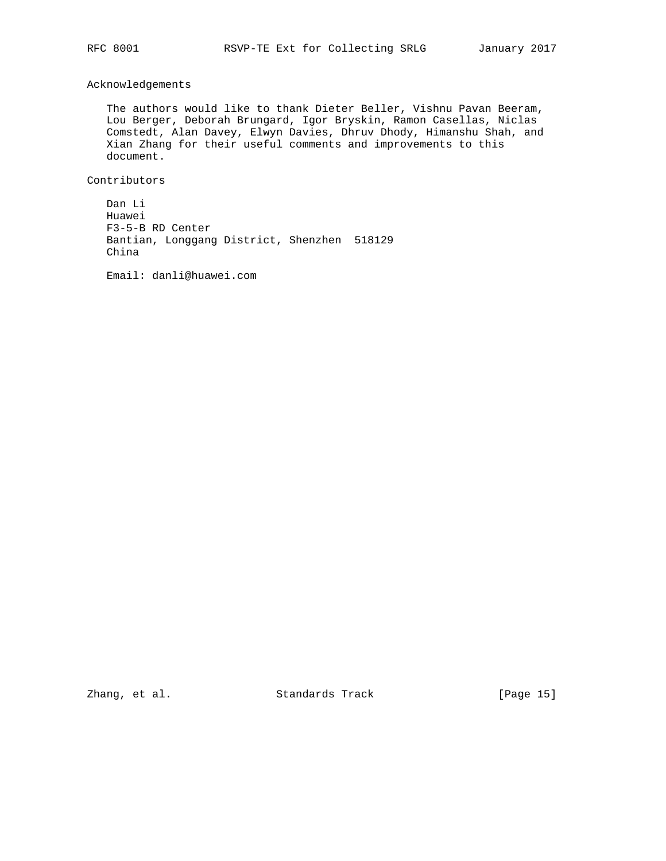# Acknowledgements

 The authors would like to thank Dieter Beller, Vishnu Pavan Beeram, Lou Berger, Deborah Brungard, Igor Bryskin, Ramon Casellas, Niclas Comstedt, Alan Davey, Elwyn Davies, Dhruv Dhody, Himanshu Shah, and Xian Zhang for their useful comments and improvements to this document.

Contributors

 Dan Li Huawei F3-5-B RD Center Bantian, Longgang District, Shenzhen 518129 China

Email: danli@huawei.com

Zhang, et al. Standards Track [Page 15]